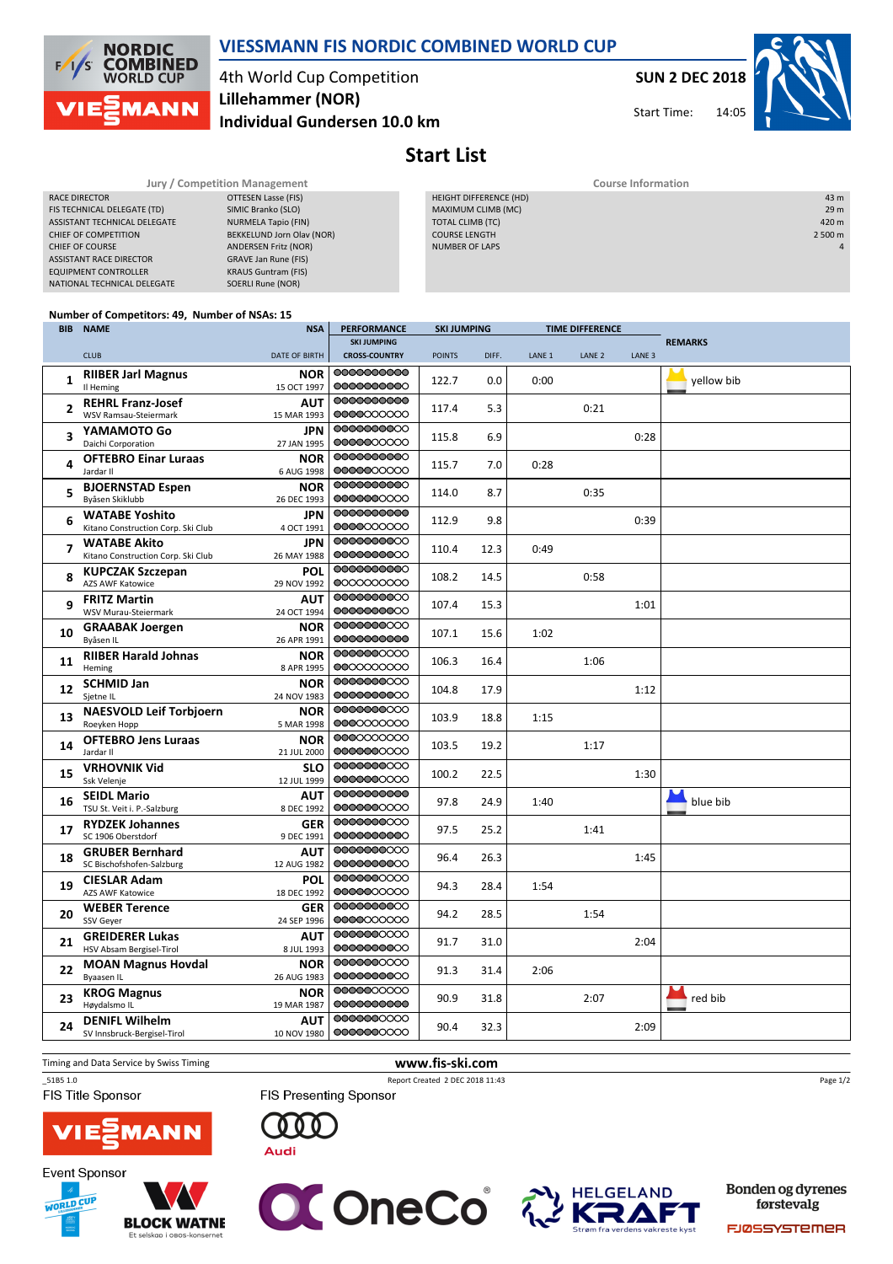

## VIESSMANN FIS NORDIC COMBINED WORLD CUP

4th World Cup Competition Individual Gundersen 10.0 km Lillehammer (NOR)

SUN 2 DEC 2018

14:05 Start Time:



Start List

| Jury / Competition Management  |                             | <b>Course Information</b> |                |  |  |  |
|--------------------------------|-----------------------------|---------------------------|----------------|--|--|--|
| RACE DIRECTOR                  | OTTESEN Lasse (FIS)         | HEIGHT DIFFERENCE (HD)    | 43 m           |  |  |  |
| FIS TECHNICAL DELEGATE (TD)    | SIMIC Branko (SLO)          | MAXIMUM CLIMB (MC)        | 29 m           |  |  |  |
| ASSISTANT TECHNICAL DELEGATE   | NURMELA Tapio (FIN)         | TOTAL CLIMB (TC)          | 420 m          |  |  |  |
| CHIEF OF COMPETITION           | BEKKELUND Jorn Olav (NOR)   | <b>COURSE LENGTH</b>      | 2 500 m        |  |  |  |
| <b>CHIEF OF COURSE</b>         | <b>ANDERSEN Fritz (NOR)</b> | <b>NUMBER OF LAPS</b>     | $\overline{4}$ |  |  |  |
| <b>ASSISTANT RACE DIRECTOR</b> | GRAVE Jan Rune (FIS)        |                           |                |  |  |  |
| EQUIPMENT CONTROLLER           | <b>KRAUS Guntram (FIS)</b>  |                           |                |  |  |  |
| NATIONAL TECHNICAL DELEGATE    | SOERLI Rune (NOR)           |                           |                |  |  |  |
|                                |                             |                           |                |  |  |  |

### Number of Competitors: 49, Number of NSAs: 15

|              | <b>BIB NAME</b>                                             | <b>NSA</b>                | <b>PERFORMANCE</b>        | <b>SKI JUMPING</b> |       | <b>TIME DIFFERENCE</b> |                   |                   |                |
|--------------|-------------------------------------------------------------|---------------------------|---------------------------|--------------------|-------|------------------------|-------------------|-------------------|----------------|
|              |                                                             |                           | <b>SKI JUMPING</b>        |                    |       |                        |                   |                   | <b>REMARKS</b> |
|              | <b>CLUB</b>                                                 | <b>DATE OF BIRTH</b>      | <b>CROSS-COUNTRY</b>      | <b>POINTS</b>      | DIFF. | LANE <sub>1</sub>      | LANE <sub>2</sub> | LANE <sub>3</sub> |                |
| 1            | <b>RIIBER Jarl Magnus</b><br>Il Heming                      | NOR<br>15 OCT 1997        | 00000000000<br>0000000000 | 122.7              | 0.0   | 0:00                   |                   |                   | yellow bib     |
| $\mathbf{z}$ | <b>REHRL Franz-Josef</b><br>WSV Ramsau-Steiermark           | ΑUΤ<br>15 MAR 1993        | 0000000000<br>0000000000  | 117.4              | 5.3   |                        | 0:21              |                   |                |
| 3            | YAMAMOTO Go<br>Daichi Corporation                           | <b>JPN</b><br>27 JAN 1995 | 0000000000<br>0000000000  | 115.8              | 6.9   |                        |                   | 0:28              |                |
| 4            | <b>OFTEBRO Einar Luraas</b><br>Jardar II                    | <b>NOR</b><br>6 AUG 1998  | 0000000000<br>0000000000  | 115.7              | 7.0   | 0:28                   |                   |                   |                |
| 5            | <b>BJOERNSTAD Espen</b><br>Byåsen Skiklubb                  | <b>NOR</b><br>26 DEC 1993 | 0000000000<br>0000000000  | 114.0              | 8.7   |                        | 0:35              |                   |                |
| 6            | <b>WATABE Yoshito</b><br>Kitano Construction Corp. Ski Club | <b>JPN</b><br>4 OCT 1991  | 0000000000<br>0000000000  | 112.9              | 9.8   |                        |                   | 0:39              |                |
| 7            | <b>WATABE Akito</b><br>Kitano Construction Corp. Ski Club   | <b>JPN</b><br>26 MAY 1988 | 0000000000<br>0000000000  | 110.4              | 12.3  | 0:49                   |                   |                   |                |
| 8            | <b>KUPCZAK Szczepan</b><br><b>AZS AWF Katowice</b>          | POL<br>29 NOV 1992        | 0000000000<br>0000000000  | 108.2              | 14.5  |                        | 0:58              |                   |                |
| q            | <b>FRITZ Martin</b><br>WSV Murau-Steiermark                 | <b>AUT</b><br>24 OCT 1994 | 0000000000<br>0000000000  | 107.4              | 15.3  |                        |                   | 1:01              |                |
| 10           | <b>GRAABAK Joergen</b><br>Byåsen IL                         | <b>NOR</b><br>26 APR 1991 | 0000000000<br>0000000000  | 107.1              | 15.6  | 1:02                   |                   |                   |                |
| 11           | <b>RIIBER Harald Johnas</b><br>Heming                       | <b>NOR</b><br>8 APR 1995  | 0000000000<br>0000000000  | 106.3              | 16.4  |                        | 1:06              |                   |                |
| 12           | <b>SCHMID Jan</b><br>Sjetne IL                              | <b>NOR</b><br>24 NOV 1983 | 0000000000<br>0000000000  | 104.8              | 17.9  |                        |                   | 1:12              |                |
| 13           | <b>NAESVOLD Leif Torbjoern</b><br>Roeyken Hopp              | <b>NOR</b><br>5 MAR 1998  | 0000000000<br>0000000000  | 103.9              | 18.8  | 1:15                   |                   |                   |                |
| 14           | <b>OFTEBRO Jens Luraas</b><br>Jardar II                     | <b>NOR</b><br>21 JUL 2000 | 0000000000<br>0000000000  | 103.5              | 19.2  |                        | 1:17              |                   |                |
| 15           | <b>VRHOVNIK Vid</b><br>Ssk Velenje                          | <b>SLO</b><br>12 JUL 1999 | 0000000000<br>0000000000  | 100.2              | 22.5  |                        |                   | 1:30              |                |
| 16           | <b>SEIDL Mario</b><br>TSU St. Veit i. P.-Salzburg           | AUT<br>8 DEC 1992         | 0000000000<br>0000000000  | 97.8               | 24.9  | 1:40                   |                   |                   | blue bib       |
| 17           | <b>RYDZEK Johannes</b><br>SC 1906 Oberstdorf                | <b>GER</b><br>9 DEC 1991  | 0000000000<br>0000000000  | 97.5               | 25.2  |                        | 1:41              |                   |                |
| 18           | <b>GRUBER Bernhard</b><br>SC Bischofshofen-Salzburg         | AUT<br>12 AUG 1982        | 0000000000<br>0000000000  | 96.4               | 26.3  |                        |                   | 1:45              |                |
| 19           | <b>CIESLAR Adam</b><br><b>AZS AWF Katowice</b>              | <b>POL</b><br>18 DEC 1992 | 0000000000<br>0000000000  | 94.3               | 28.4  | 1:54                   |                   |                   |                |
| 20           | <b>WEBER Terence</b><br><b>SSV Gever</b>                    | <b>GER</b><br>24 SEP 1996 | 0000000000<br>0000000000  | 94.2               | 28.5  |                        | 1:54              |                   |                |
| 21           | <b>GREIDERER Lukas</b><br>HSV Absam Bergisel-Tirol          | <b>AUT</b><br>8 JUL 1993  | 0000000000<br>0000000000  | 91.7               | 31.0  |                        |                   | 2:04              |                |
| 22           | <b>MOAN Magnus Hovdal</b><br><b>Byaasen IL</b>              | <b>NOR</b><br>26 AUG 1983 | 0000000000<br>0000000000  | 91.3               | 31.4  | 2:06                   |                   |                   |                |
| 23           | <b>KROG Magnus</b><br>Høydalsmo IL                          | <b>NOR</b><br>19 MAR 1987 | 0000000000<br>0000000000  | 90.9               | 31.8  |                        | 2:07              |                   | red bib        |
| 24           | <b>DENIFL Wilhelm</b><br>SV Innsbruck-Bergisel-Tirol        | <b>AUT</b><br>10 NOV 1980 | 0000000000<br>0000000000  | 90.4               | 32.3  |                        |                   | 2:09              |                |

Timing and Data Service by Swiss Timing **www.fis-ski.com** 

FIS Title Sponsor

**Event Sponsor** 

**WORLD CUP** 

**BLOCK WATNE** 

Et selskap i obos-

\_51B5 1.0 Report Created 2 DEC 2018 11:43 **FIS Presenting Sponsor** 

Page 1/2









Bonden og dyrenes førstevalg

FJØSSYSTEMER